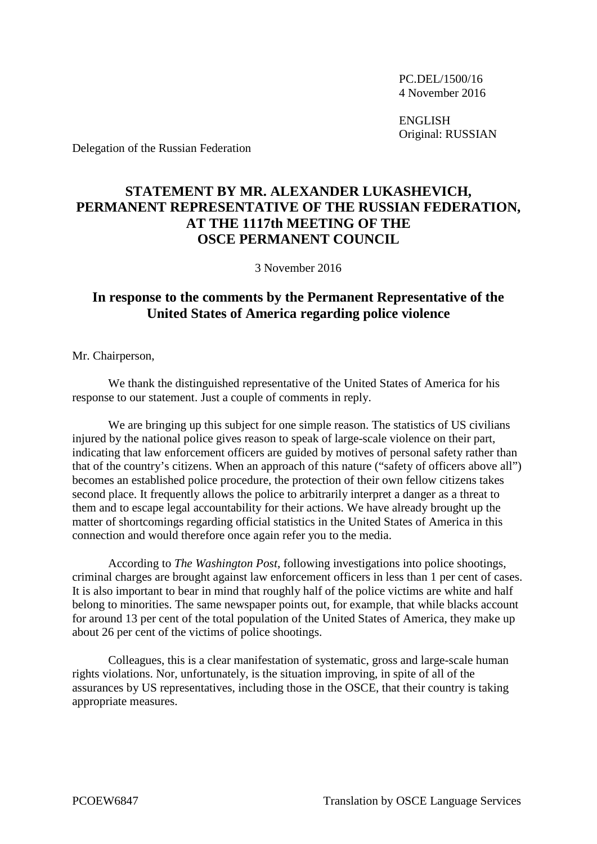PC.DEL/1500/16 4 November 2016

ENGLISH Original: RUSSIAN

Delegation of the Russian Federation

## **STATEMENT BY MR. ALEXANDER LUKASHEVICH, PERMANENT REPRESENTATIVE OF THE RUSSIAN FEDERATION, AT THE 1117th MEETING OF THE OSCE PERMANENT COUNCIL**

3 November 2016

## **In response to the comments by the Permanent Representative of the United States of America regarding police violence**

Mr. Chairperson,

We thank the distinguished representative of the United States of America for his response to our statement. Just a couple of comments in reply.

We are bringing up this subject for one simple reason. The statistics of US civilians injured by the national police gives reason to speak of large-scale violence on their part, indicating that law enforcement officers are guided by motives of personal safety rather than that of the country's citizens. When an approach of this nature ("safety of officers above all") becomes an established police procedure, the protection of their own fellow citizens takes second place. It frequently allows the police to arbitrarily interpret a danger as a threat to them and to escape legal accountability for their actions. We have already brought up the matter of shortcomings regarding official statistics in the United States of America in this connection and would therefore once again refer you to the media.

According to *The Washington Post*, following investigations into police shootings, criminal charges are brought against law enforcement officers in less than 1 per cent of cases. It is also important to bear in mind that roughly half of the police victims are white and half belong to minorities. The same newspaper points out, for example, that while blacks account for around 13 per cent of the total population of the United States of America, they make up about 26 per cent of the victims of police shootings.

Colleagues, this is a clear manifestation of systematic, gross and large-scale human rights violations. Nor, unfortunately, is the situation improving, in spite of all of the assurances by US representatives, including those in the OSCE, that their country is taking appropriate measures.